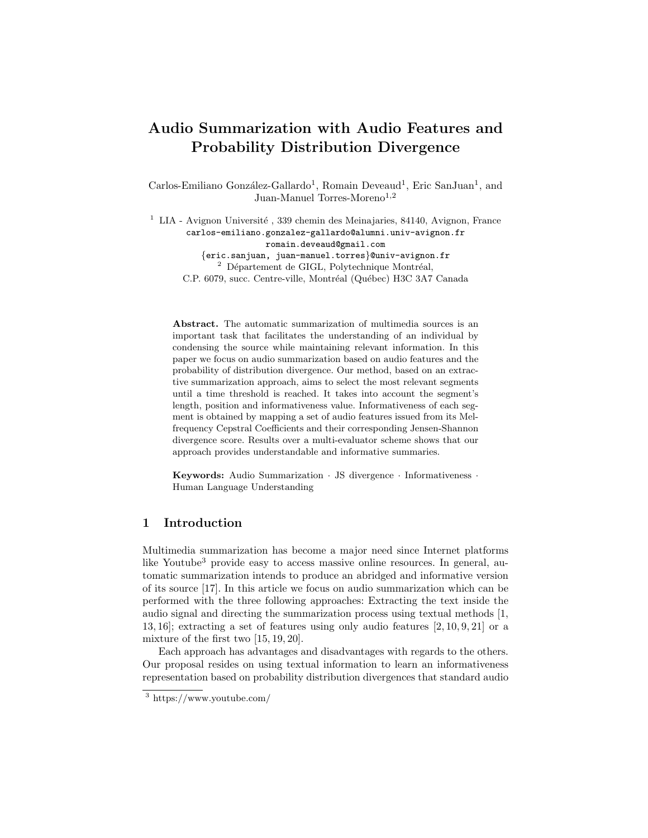# Audio Summarization with Audio Features and Probability Distribution Divergence

Carlos-Emiliano González-Gallardo<sup>1</sup>, Romain Deveaud<sup>1</sup>, Eric SanJuan<sup>1</sup>, and Juan-Manuel Torres-Moreno<sup>1,2</sup>

 $1$  LIA - Avignon Université, 339 chemin des Meinajaries, 84140, Avignon, France carlos-emiliano.gonzalez-gallardo@alumni.univ-avignon.fr romain.deveaud@gmail.com {eric.sanjuan, juan-manuel.torres}@univ-avignon.fr  $^2$  Département de GIGL, Polytechnique Montréal, C.P. 6079, succ. Centre-ville, Montréal (Québec) H3C 3A7 Canada

Abstract. The automatic summarization of multimedia sources is an important task that facilitates the understanding of an individual by condensing the source while maintaining relevant information. In this paper we focus on audio summarization based on audio features and the probability of distribution divergence. Our method, based on an extractive summarization approach, aims to select the most relevant segments until a time threshold is reached. It takes into account the segment's length, position and informativeness value. Informativeness of each segment is obtained by mapping a set of audio features issued from its Melfrequency Cepstral Coefficients and their corresponding Jensen-Shannon divergence score. Results over a multi-evaluator scheme shows that our approach provides understandable and informative summaries.

Keywords: Audio Summarization · JS divergence · Informativeness · Human Language Understanding

# 1 Introduction

Multimedia summarization has become a major need since Internet platforms like Youtube<sup>3</sup> provide easy to access massive online resources. In general, automatic summarization intends to produce an abridged and informative version of its source [17]. In this article we focus on audio summarization which can be performed with the three following approaches: Extracting the text inside the audio signal and directing the summarization process using textual methods [1, 13, 16]; extracting a set of features using only audio features [2, 10, 9, 21] or a mixture of the first two [15, 19, 20].

Each approach has advantages and disadvantages with regards to the others. Our proposal resides on using textual information to learn an informativeness representation based on probability distribution divergences that standard audio

<sup>3</sup> https://www.youtube.com/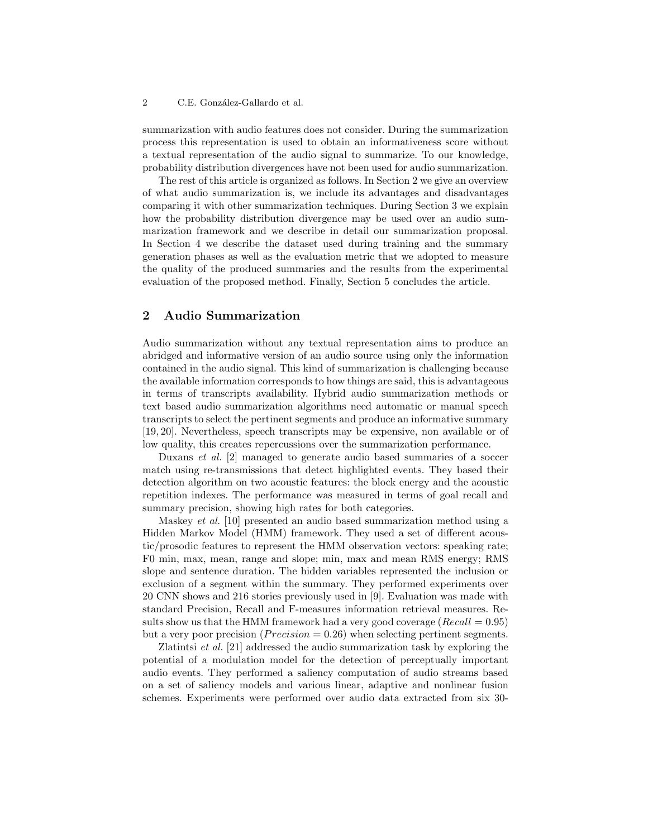summarization with audio features does not consider. During the summarization process this representation is used to obtain an informativeness score without a textual representation of the audio signal to summarize. To our knowledge, probability distribution divergences have not been used for audio summarization.

The rest of this article is organized as follows. In Section 2 we give an overview of what audio summarization is, we include its advantages and disadvantages comparing it with other summarization techniques. During Section 3 we explain how the probability distribution divergence may be used over an audio summarization framework and we describe in detail our summarization proposal. In Section 4 we describe the dataset used during training and the summary generation phases as well as the evaluation metric that we adopted to measure the quality of the produced summaries and the results from the experimental evaluation of the proposed method. Finally, Section 5 concludes the article.

# 2 Audio Summarization

Audio summarization without any textual representation aims to produce an abridged and informative version of an audio source using only the information contained in the audio signal. This kind of summarization is challenging because the available information corresponds to how things are said, this is advantageous in terms of transcripts availability. Hybrid audio summarization methods or text based audio summarization algorithms need automatic or manual speech transcripts to select the pertinent segments and produce an informative summary [19, 20]. Nevertheless, speech transcripts may be expensive, non available or of low quality, this creates repercussions over the summarization performance.

Duxans et al. [2] managed to generate audio based summaries of a soccer match using re-transmissions that detect highlighted events. They based their detection algorithm on two acoustic features: the block energy and the acoustic repetition indexes. The performance was measured in terms of goal recall and summary precision, showing high rates for both categories.

Maskey et al. [10] presented an audio based summarization method using a Hidden Markov Model (HMM) framework. They used a set of different acoustic/prosodic features to represent the HMM observation vectors: speaking rate; F0 min, max, mean, range and slope; min, max and mean RMS energy; RMS slope and sentence duration. The hidden variables represented the inclusion or exclusion of a segment within the summary. They performed experiments over 20 CNN shows and 216 stories previously used in [9]. Evaluation was made with standard Precision, Recall and F-measures information retrieval measures. Results show us that the HMM framework had a very good coverage ( $Recall = 0.95$ ) but a very poor precision ( $Precision = 0.26$ ) when selecting pertinent segments.

Zlatintsi et al. [21] addressed the audio summarization task by exploring the potential of a modulation model for the detection of perceptually important audio events. They performed a saliency computation of audio streams based on a set of saliency models and various linear, adaptive and nonlinear fusion schemes. Experiments were performed over audio data extracted from six 30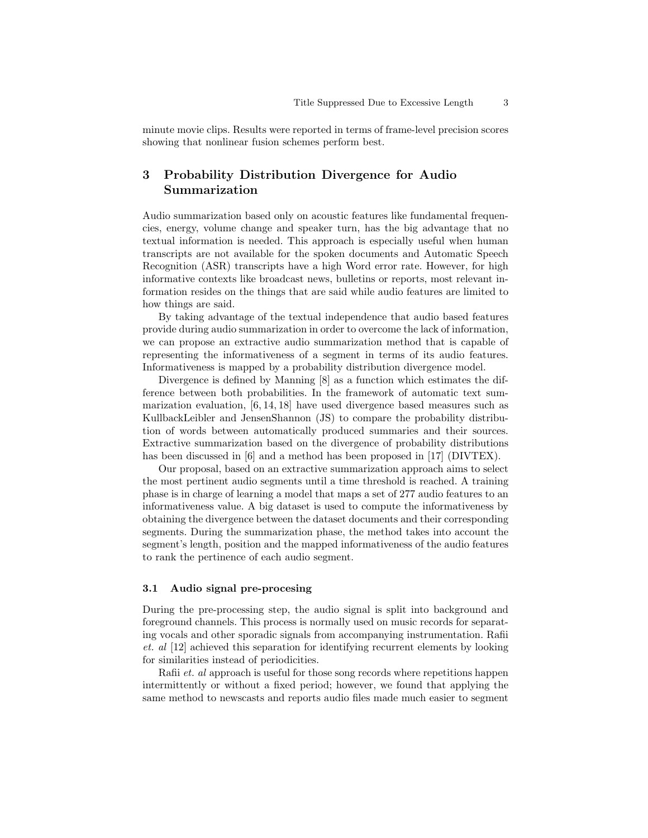minute movie clips. Results were reported in terms of frame-level precision scores showing that nonlinear fusion schemes perform best.

# 3 Probability Distribution Divergence for Audio Summarization

Audio summarization based only on acoustic features like fundamental frequencies, energy, volume change and speaker turn, has the big advantage that no textual information is needed. This approach is especially useful when human transcripts are not available for the spoken documents and Automatic Speech Recognition (ASR) transcripts have a high Word error rate. However, for high informative contexts like broadcast news, bulletins or reports, most relevant information resides on the things that are said while audio features are limited to how things are said.

By taking advantage of the textual independence that audio based features provide during audio summarization in order to overcome the lack of information, we can propose an extractive audio summarization method that is capable of representing the informativeness of a segment in terms of its audio features. Informativeness is mapped by a probability distribution divergence model.

Divergence is defined by Manning [8] as a function which estimates the difference between both probabilities. In the framework of automatic text summarization evaluation,  $[6, 14, 18]$  have used divergence based measures such as KullbackLeibler and JensenShannon (JS) to compare the probability distribution of words between automatically produced summaries and their sources. Extractive summarization based on the divergence of probability distributions has been discussed in [6] and a method has been proposed in [17] (DIVTEX).

Our proposal, based on an extractive summarization approach aims to select the most pertinent audio segments until a time threshold is reached. A training phase is in charge of learning a model that maps a set of 277 audio features to an informativeness value. A big dataset is used to compute the informativeness by obtaining the divergence between the dataset documents and their corresponding segments. During the summarization phase, the method takes into account the segment's length, position and the mapped informativeness of the audio features to rank the pertinence of each audio segment.

### 3.1 Audio signal pre-procesing

During the pre-processing step, the audio signal is split into background and foreground channels. This process is normally used on music records for separating vocals and other sporadic signals from accompanying instrumentation. Rafii et. al [12] achieved this separation for identifying recurrent elements by looking for similarities instead of periodicities.

Rafii et. al approach is useful for those song records where repetitions happen intermittently or without a fixed period; however, we found that applying the same method to newscasts and reports audio files made much easier to segment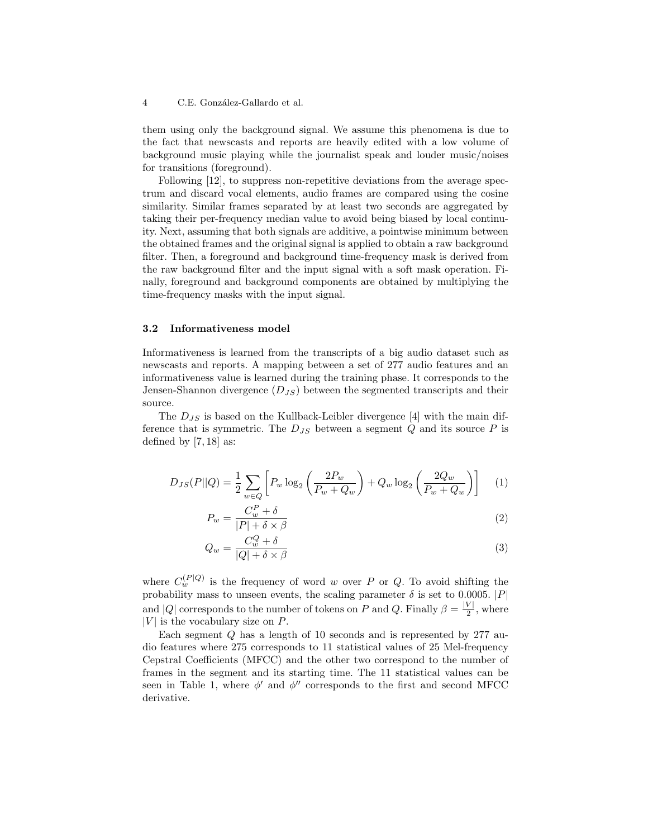them using only the background signal. We assume this phenomena is due to the fact that newscasts and reports are heavily edited with a low volume of background music playing while the journalist speak and louder music/noises for transitions (foreground).

Following [12], to suppress non-repetitive deviations from the average spectrum and discard vocal elements, audio frames are compared using the cosine similarity. Similar frames separated by at least two seconds are aggregated by taking their per-frequency median value to avoid being biased by local continuity. Next, assuming that both signals are additive, a pointwise minimum between the obtained frames and the original signal is applied to obtain a raw background filter. Then, a foreground and background time-frequency mask is derived from the raw background filter and the input signal with a soft mask operation. Finally, foreground and background components are obtained by multiplying the time-frequency masks with the input signal.

#### 3.2 Informativeness model

Informativeness is learned from the transcripts of a big audio dataset such as newscasts and reports. A mapping between a set of 277 audio features and an informativeness value is learned during the training phase. It corresponds to the Jensen-Shannon divergence  $(D_{JS})$  between the segmented transcripts and their source.

The  $D_{JS}$  is based on the Kullback-Leibler divergence [4] with the main difference that is symmetric. The  $D_{JS}$  between a segment  $Q$  and its source  $P$  is defined by  $[7, 18]$  as:

$$
D_{JS}(P||Q) = \frac{1}{2} \sum_{w \in Q} \left[ P_w \log_2 \left( \frac{2P_w}{P_w + Q_w} \right) + Q_w \log_2 \left( \frac{2Q_w}{P_w + Q_w} \right) \right] \tag{1}
$$

$$
P_w = \frac{C_w^P + \delta}{|P| + \delta \times \beta} \tag{2}
$$

$$
Q_w = \frac{C_w^Q + \delta}{|Q| + \delta \times \beta} \tag{3}
$$

where  $C_w^{(P|Q)}$  is the frequency of word w over P or Q. To avoid shifting the probability mass to unseen events, the scaling parameter  $\delta$  is set to 0.0005. |P| and |Q| corresponds to the number of tokens on P and Q. Finally  $\beta = \frac{|V|}{2}$  $\frac{V}{2}$ , where  $|V|$  is the vocabulary size on P.

Each segment Q has a length of 10 seconds and is represented by 277 audio features where 275 corresponds to 11 statistical values of 25 Mel-frequency Cepstral Coefficients (MFCC) and the other two correspond to the number of frames in the segment and its starting time. The 11 statistical values can be seen in Table 1, where  $\phi'$  and  $\phi''$  corresponds to the first and second MFCC derivative.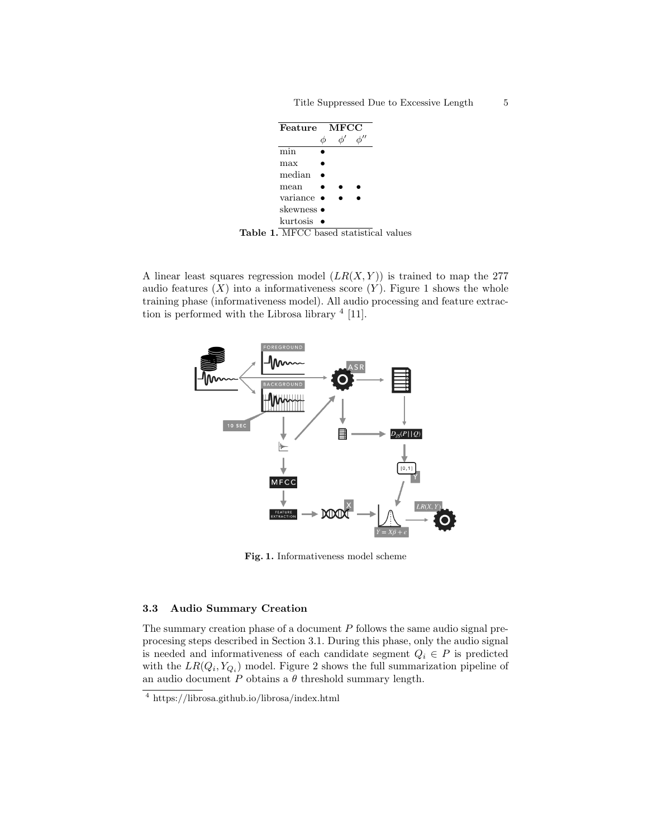

A linear least squares regression model  $(LR(X, Y))$  is trained to map the 277 audio features  $(X)$  into a informativeness score  $(Y)$ . Figure 1 shows the whole training phase (informativeness model). All audio processing and feature extraction is performed with the Librosa library  $<sup>4</sup>$  [11].</sup>



Fig. 1. Informativeness model scheme

### 3.3 Audio Summary Creation

The summary creation phase of a document  $P$  follows the same audio signal preprocesing steps described in Section 3.1. During this phase, only the audio signal is needed and informativeness of each candidate segment  $Q_i \in P$  is predicted with the  $LR(Q_i, Y_{Q_i})$  model. Figure 2 shows the full summarization pipeline of an audio document P obtains a  $\theta$  threshold summary length.

<sup>4</sup> https://librosa.github.io/librosa/index.html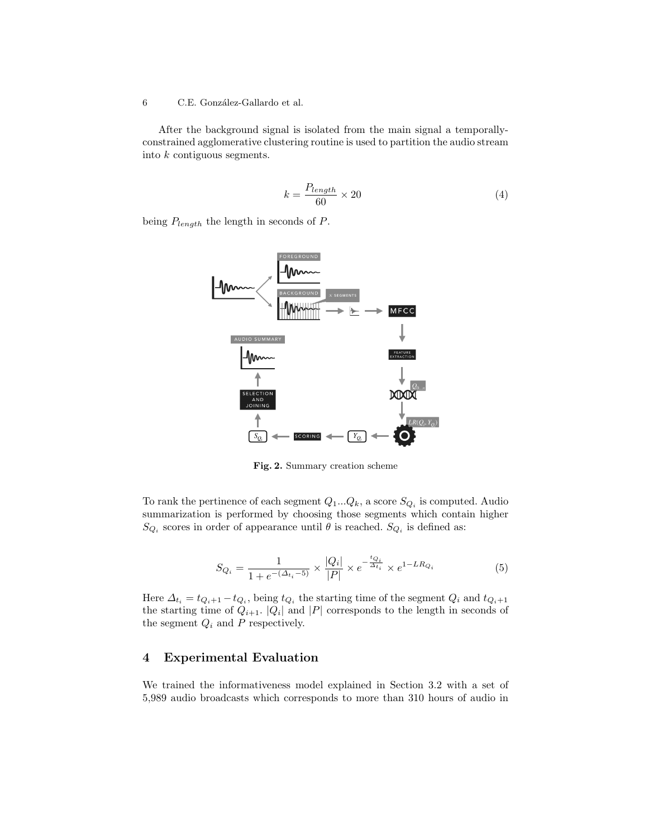#### 6 C.E. González-Gallardo et al.

After the background signal is isolated from the main signal a temporallyconstrained agglomerative clustering routine is used to partition the audio stream into k contiguous segments.

$$
k = \frac{P_{length}}{60} \times 20\tag{4}
$$

being  $P_{length}$  the length in seconds of P.



Fig. 2. Summary creation scheme

To rank the pertinence of each segment  $Q_1...Q_k$ , a score  $S_{Q_i}$  is computed. Audio summarization is performed by choosing those segments which contain higher  $S_{Q_i}$  scores in order of appearance until  $\theta$  is reached.  $S_{Q_i}$  is defined as:

$$
S_{Q_i} = \frac{1}{1 + e^{-(\Delta_{t_i} - 5)}} \times \frac{|Q_i|}{|P|} \times e^{-\frac{t_{Q_i}}{\Delta_{t_i}}} \times e^{1 - LR_{Q_i}}
$$
(5)

Here  $\Delta_{t_i} = t_{Q_i+1} - t_{Q_i}$ , being  $t_{Q_i}$  the starting time of the segment  $Q_i$  and  $t_{Q_i+1}$ the starting time of  $Q_{i+1}$ .  $|Q_i|$  and  $|P|$  corresponds to the length in seconds of the segment  $Q_i$  and P respectively.

# 4 Experimental Evaluation

We trained the informativeness model explained in Section 3.2 with a set of 5,989 audio broadcasts which corresponds to more than 310 hours of audio in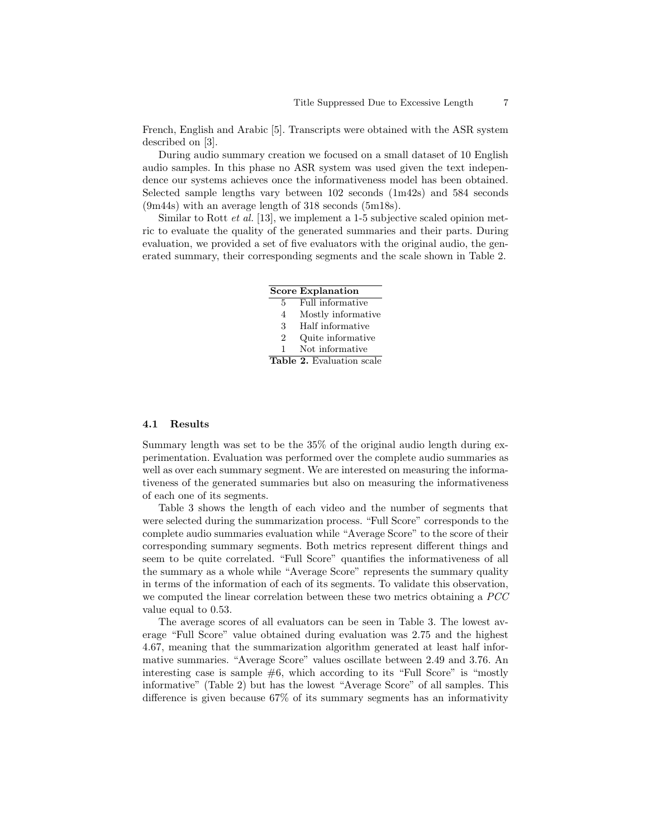French, English and Arabic [5]. Transcripts were obtained with the ASR system described on [3].

During audio summary creation we focused on a small dataset of 10 English audio samples. In this phase no ASR system was used given the text independence our systems achieves once the informativeness model has been obtained. Selected sample lengths vary between 102 seconds (1m42s) and 584 seconds (9m44s) with an average length of 318 seconds (5m18s).

Similar to Rott *et al.* [13], we implement a 1-5 subjective scaled opinion metric to evaluate the quality of the generated summaries and their parts. During evaluation, we provided a set of five evaluators with the original audio, the generated summary, their corresponding segments and the scale shown in Table 2.

|   | <b>Score Explanation</b>         |
|---|----------------------------------|
| 5 | Full informative                 |
| 4 | Mostly informative               |
| 3 | Half informative                 |
| 2 | Quite informative                |
| 1 | Not informative                  |
|   | <b>Table 2.</b> Evaluation scale |
|   |                                  |

### 4.1 Results

Summary length was set to be the 35% of the original audio length during experimentation. Evaluation was performed over the complete audio summaries as well as over each summary segment. We are interested on measuring the informativeness of the generated summaries but also on measuring the informativeness of each one of its segments.

Table 3 shows the length of each video and the number of segments that were selected during the summarization process. "Full Score" corresponds to the complete audio summaries evaluation while "Average Score" to the score of their corresponding summary segments. Both metrics represent different things and seem to be quite correlated. "Full Score" quantifies the informativeness of all the summary as a whole while "Average Score" represents the summary quality in terms of the information of each of its segments. To validate this observation, we computed the linear correlation between these two metrics obtaining a PCC value equal to 0.53.

The average scores of all evaluators can be seen in Table 3. The lowest average "Full Score" value obtained during evaluation was 2.75 and the highest 4.67, meaning that the summarization algorithm generated at least half informative summaries. "Average Score" values oscillate between 2.49 and 3.76. An interesting case is sample  $#6$ , which according to its "Full Score" is "mostly informative" (Table 2) but has the lowest "Average Score" of all samples. This difference is given because 67% of its summary segments has an informativity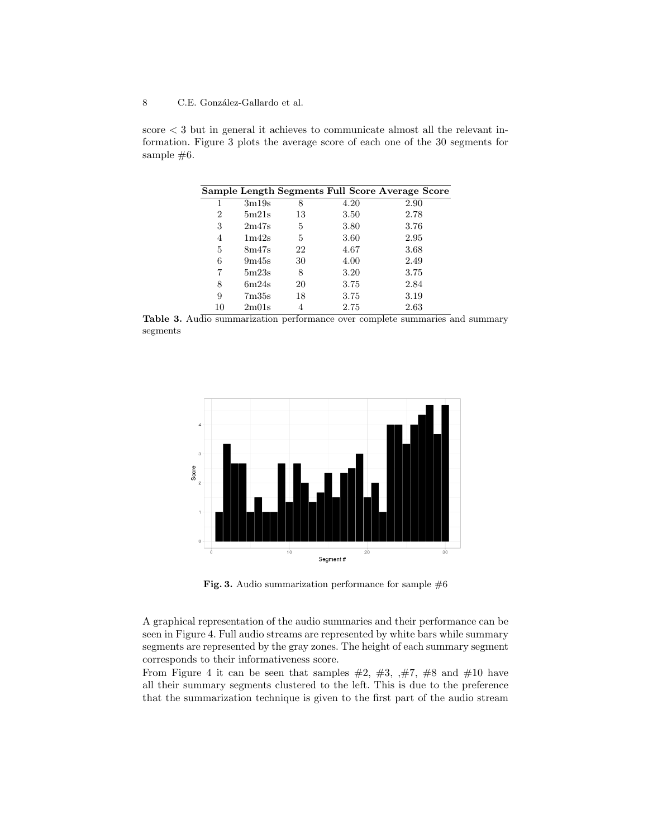### 8 C.E. González-Gallardo et al.

score  $<$  3 but in general it achieves to communicate almost all the relevant information. Figure 3 plots the average score of each one of the 30 segments for sample #6.

|    |                   |    |      | Sample Length Segments Full Score Average Score |
|----|-------------------|----|------|-------------------------------------------------|
| 1  | 3m19s             | 8  | 4.20 | 2.90                                            |
| 2  | 5m21s             | 13 | 3.50 | 2.78                                            |
| 3  | 2m47s             | 5  | 3.80 | 3.76                                            |
| 4  | 1m42s             | 5  | 3.60 | 2.95                                            |
| 5  | 8m47s             | 22 | 4.67 | 3.68                                            |
| 6  | 9m45s             | 30 | 4.00 | 2.49                                            |
| 7  | 5m23s             | 8  | 3.20 | 3.75                                            |
| 8  | 6m24s             | 20 | 3.75 | 2.84                                            |
| 9  | 7 <sub>m35s</sub> | 18 | 3.75 | 3.19                                            |
| 10 | 2m01s             | 4  | 2.75 | 2.63                                            |

Table 3. Audio summarization performance over complete summaries and summary segments



Fig. 3. Audio summarization performance for sample  $\#6$ 

A graphical representation of the audio summaries and their performance can be seen in Figure 4. Full audio streams are represented by white bars while summary segments are represented by the gray zones. The height of each summary segment corresponds to their informativeness score.

From Figure 4 it can be seen that samples  $#2, #3, #7, #8$  and  $#10$  have all their summary segments clustered to the left. This is due to the preference that the summarization technique is given to the first part of the audio stream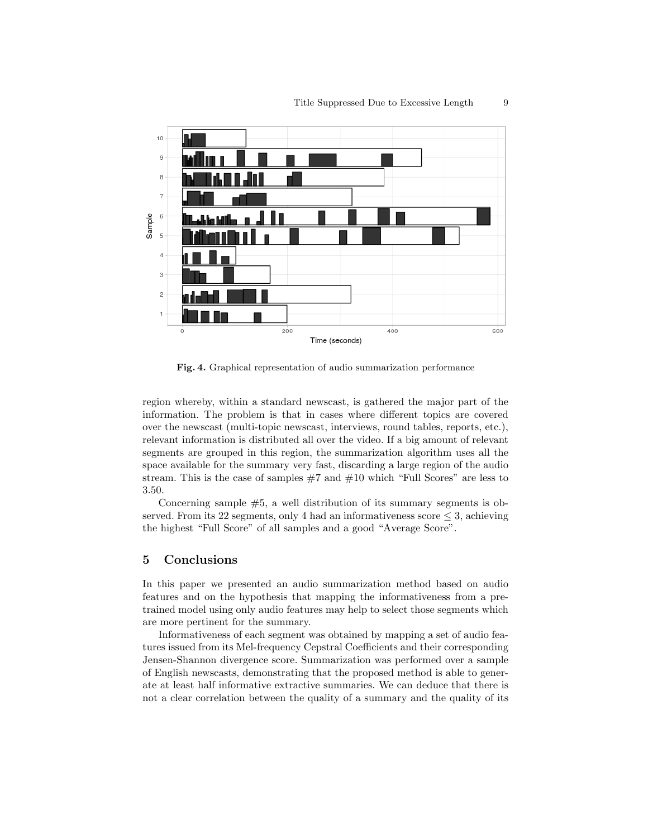

Fig. 4. Graphical representation of audio summarization performance

region whereby, within a standard newscast, is gathered the major part of the information. The problem is that in cases where different topics are covered over the newscast (multi-topic newscast, interviews, round tables, reports, etc.), relevant information is distributed all over the video. If a big amount of relevant segments are grouped in this region, the summarization algorithm uses all the space available for the summary very fast, discarding a large region of the audio stream. This is the case of samples  $#7$  and  $#10$  which "Full Scores" are less to 3.50.

Concerning sample #5, a well distribution of its summary segments is observed. From its 22 segments, only 4 had an informativeness score  $\leq$  3, achieving the highest "Full Score" of all samples and a good "Average Score".

# 5 Conclusions

In this paper we presented an audio summarization method based on audio features and on the hypothesis that mapping the informativeness from a pretrained model using only audio features may help to select those segments which are more pertinent for the summary.

Informativeness of each segment was obtained by mapping a set of audio features issued from its Mel-frequency Cepstral Coefficients and their corresponding Jensen-Shannon divergence score. Summarization was performed over a sample of English newscasts, demonstrating that the proposed method is able to generate at least half informative extractive summaries. We can deduce that there is not a clear correlation between the quality of a summary and the quality of its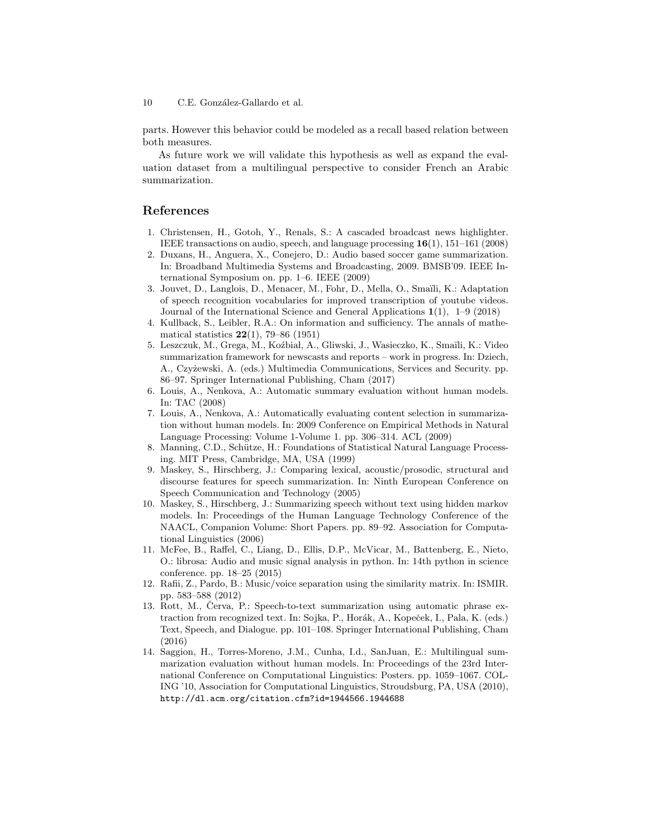10 C.E. González-Gallardo et al.

parts. However this behavior could be modeled as a recall based relation between both measures.

As future work we will validate this hypothesis as well as expand the evaluation dataset from a multilingual perspective to consider French an Arabic summarization.

### References

- 1. Christensen, H., Gotoh, Y., Renals, S.: A cascaded broadcast news highlighter. IEEE transactions on audio, speech, and language processing 16(1), 151–161 (2008)
- 2. Duxans, H., Anguera, X., Conejero, D.: Audio based soccer game summarization. In: Broadband Multimedia Systems and Broadcasting, 2009. BMSB'09. IEEE International Symposium on. pp. 1–6. IEEE (2009)
- 3. Jouvet, D., Langlois, D., Menacer, M., Fohr, D., Mella, O., Smaili, K.: Adaptation of speech recognition vocabularies for improved transcription of youtube videos. Journal of the International Science and General Applications 1(1), 1–9 (2018)
- 4. Kullback, S., Leibler, R.A.: On information and sufficiency. The annals of mathematical statistics  $22(1)$ , 79–86 (1951)
- 5. Leszczuk, M., Grega, M., Koźbiał, A., Gliwski, J., Wasieczko, K., Smaïli, K.: Video summarization framework for newscasts and reports – work in progress. In: Dziech, A., Czy˙zewski, A. (eds.) Multimedia Communications, Services and Security. pp. 86–97. Springer International Publishing, Cham (2017)
- 6. Louis, A., Nenkova, A.: Automatic summary evaluation without human models. In: TAC (2008)
- 7. Louis, A., Nenkova, A.: Automatically evaluating content selection in summarization without human models. In: 2009 Conference on Empirical Methods in Natural Language Processing: Volume 1-Volume 1. pp. 306–314. ACL (2009)
- 8. Manning, C.D., Schütze, H.: Foundations of Statistical Natural Language Processing. MIT Press, Cambridge, MA, USA (1999)
- 9. Maskey, S., Hirschberg, J.: Comparing lexical, acoustic/prosodic, structural and discourse features for speech summarization. In: Ninth European Conference on Speech Communication and Technology (2005)
- 10. Maskey, S., Hirschberg, J.: Summarizing speech without text using hidden markov models. In: Proceedings of the Human Language Technology Conference of the NAACL, Companion Volume: Short Papers. pp. 89–92. Association for Computational Linguistics (2006)
- 11. McFee, B., Raffel, C., Liang, D., Ellis, D.P., McVicar, M., Battenberg, E., Nieto, O.: librosa: Audio and music signal analysis in python. In: 14th python in science conference. pp. 18–25 (2015)
- 12. Rafii, Z., Pardo, B.: Music/voice separation using the similarity matrix. In: ISMIR. pp. 583–588 (2012)
- 13. Rott, M., Červa, P.: Speech-to-text summarization using automatic phrase extraction from recognized text. In: Sojka, P., Horák, A., Kopeček, I., Pala, K. (eds.) Text, Speech, and Dialogue. pp. 101–108. Springer International Publishing, Cham (2016)
- 14. Saggion, H., Torres-Moreno, J.M., Cunha, I.d., SanJuan, E.: Multilingual summarization evaluation without human models. In: Proceedings of the 23rd International Conference on Computational Linguistics: Posters. pp. 1059–1067. COL-ING '10, Association for Computational Linguistics, Stroudsburg, PA, USA (2010), http://dl.acm.org/citation.cfm?id=1944566.1944688